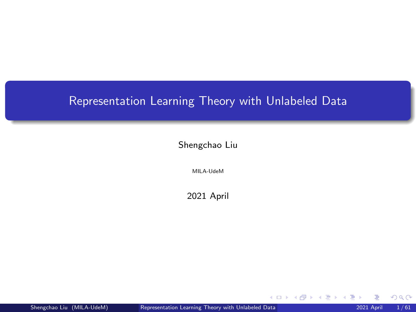# <span id="page-0-0"></span>Representation Learning Theory with Unlabeled Data

Shengchao Liu

MILA-UdeM

2021 April

 $299$ 

メロメメ 倒す メミメメ毛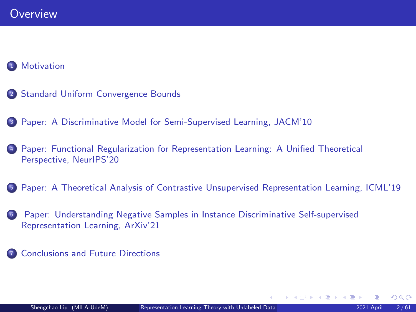### **[Motivation](#page-2-0)**

- <sup>2</sup> [Standard Uniform Convergence Bounds](#page-4-0)
- <sup>3</sup> [Paper: A Discriminative Model for Semi-Supervised Learning, JACM'10](#page-18-0)
- <sup>4</sup> [Paper: Functional Regularization for Representation Learning: A Unified Theoretical](#page-25-0) [Perspective, NeurIPS'20](#page-25-0)
- <sup>5</sup> [Paper: A Theoretical Analysis of Contrastive Unsupervised Representation Learning, ICML'19](#page-35-0)
- <sup>6</sup> [Paper: Understanding Negative Samples in Instance Discriminative Self-supervised](#page-52-0) [Representation Learning, ArXiv'21](#page-52-0)
- **7** [Conclusions and Future Directions](#page-59-0)

 $\Omega$ 

K ロトメ 御 ト ス ヨ ト ス ヨ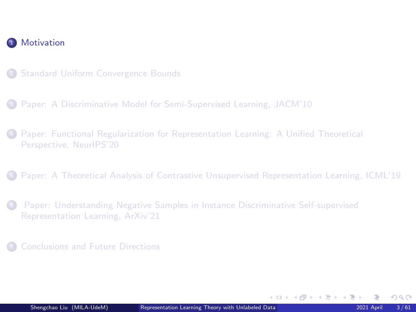<span id="page-2-0"></span>

- 2 [Standard Uniform Convergence Bounds](#page-4-0)
- <sup>3</sup> [Paper: A Discriminative Model for Semi-Supervised Learning, JACM'10](#page-18-0)
- <sup>4</sup> [Paper: Functional Regularization for Representation Learning: A Unified Theoretical](#page-25-0) [Perspective, NeurIPS'20](#page-25-0)
- <sup>5</sup> [Paper: A Theoretical Analysis of Contrastive Unsupervised Representation Learning, ICML'19](#page-35-0)
- <sup>6</sup> [Paper: Understanding Negative Samples in Instance Discriminative Self-supervised](#page-52-0) [Representation Learning, ArXiv'21](#page-52-0)
- **[Conclusions and Future Directions](#page-59-0)**

 $\Omega$ 

イロメ イ部メ イヨメ イヨメ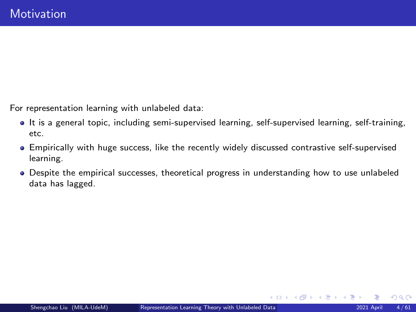For representation learning with unlabeled data:

- It is a general topic, including semi-supervised learning, self-supervised learning, self-training, etc.
- Empirically with huge success, like the recently widely discussed contrastive self-supervised learning.
- Despite the empirical successes, theoretical progress in understanding how to use unlabeled data has lagged.

 $\Omega$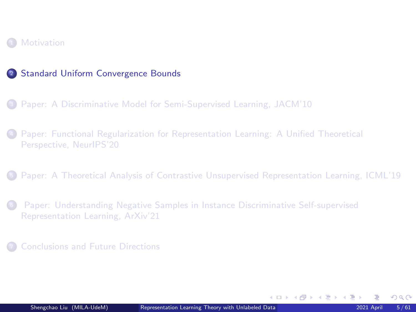#### <span id="page-4-0"></span>**[Motivation](#page-2-0)**

#### 2 [Standard Uniform Convergence Bounds](#page-4-0)

- <sup>3</sup> [Paper: A Discriminative Model for Semi-Supervised Learning, JACM'10](#page-18-0)
- <sup>4</sup> [Paper: Functional Regularization for Representation Learning: A Unified Theoretical](#page-25-0) [Perspective, NeurIPS'20](#page-25-0)
- <sup>5</sup> [Paper: A Theoretical Analysis of Contrastive Unsupervised Representation Learning, ICML'19](#page-35-0)
- <sup>6</sup> [Paper: Understanding Negative Samples in Instance Discriminative Self-supervised](#page-52-0) [Representation Learning, ArXiv'21](#page-52-0)
- **[Conclusions and Future Directions](#page-59-0)**

 $\Omega$ 

イロメ イ部メ イヨメ イヨメ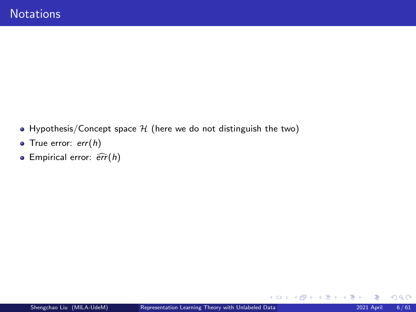- Hypothesis/Concept space  $H$  (here we do not distinguish the two)
- $\bullet$  True error: err(h)
- **Empirical error:**  $\widehat{err}(h)$

 $299$ 

メロトメ 伊 トメ ミトメ ミト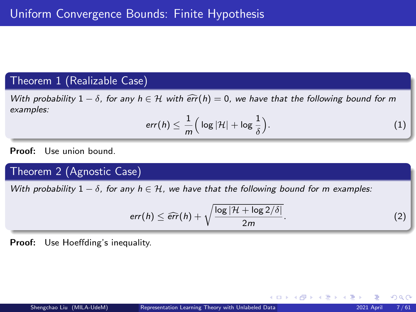### Theorem 1 (Realizable Case)

With probability  $1 - \delta$ , for any  $h \in H$  with  $\widehat{err}(h) = 0$ , we have that the following bound for m examples:

$$
err(h) \leq \frac{1}{m} \Big( \log |\mathcal{H}| + \log \frac{1}{\delta} \Big). \tag{1}
$$

Proof: Use union bound.

# Theorem 2 (Agnostic Case)

With probability  $1 - \delta$ , for any  $h \in \mathcal{H}$ , we have that the following bound for m examples:

$$
err(h) \leq \widehat{err}(h) + \sqrt{\frac{\log |\mathcal{H} + \log 2/\delta|}{2m}}.
$$
 (2)

K ロ ▶ K 御 ▶ K 君 ▶ K 君 ▶

Proof: Use Hoeffding's inequality.

 $298$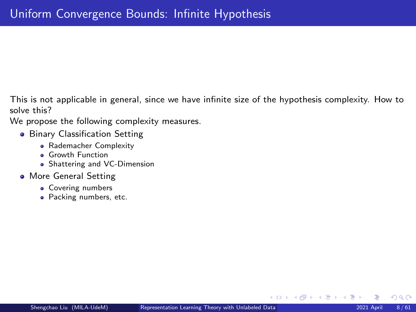This is not applicable in general, since we have infinite size of the hypothesis complexity. How to solve this?

We propose the following complexity measures.

- **Binary Classification Setting** 
	- **e** Rademacher Complexity
	- **a** Growth Function
	- **•** Shattering and VC-Dimension
- **More General Setting** 
	- Covering numbers
	- Packing numbers, etc.

 $\Omega$ 

K ロ ▶ K 御 ▶ K 君 ▶ K 君 ▶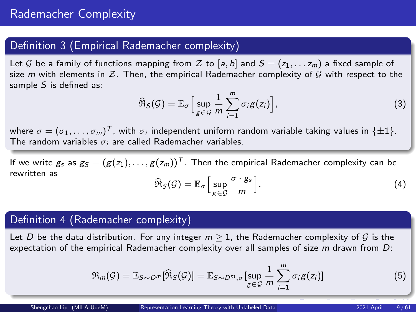# Definition 3 (Empirical Rademacher complexity)

Let G be a family of functions mapping from Z to [a, b] and  $S = (z_1, \ldots, z_m)$  a fixed sample of size m with elements in  $\mathcal Z$ . Then, the empirical Rademacher complexity of  $\mathcal G$  with respect to the sample  $S$  is defined as:

$$
\widehat{\mathfrak{R}}_{\mathcal{S}}(\mathcal{G}) = \mathbb{E}_{\sigma} \Big[ \sup_{g \in \mathcal{G}} \frac{1}{m} \sum_{i=1}^{m} \sigma_{i} g(z_{i}) \Big], \tag{3}
$$

where  $\sigma=(\sigma_1,\ldots,\sigma_m)^{\mathcal{T}}$ , with  $\sigma_i$  independent uniform random variable taking values in  $\{\pm 1\}.$ The random variables  $\sigma_i$  are called Rademacher variables.

If we write  $g_s$  as  $g_S = (g(z_1), \ldots, g(z_m))^T$ . Then the empirical Rademacher complexity can be rewritten as

$$
\widehat{\mathfrak{R}}_{\mathcal{S}}(\mathcal{G}) = \mathbb{E}_{\sigma} \Big[ \sup_{g \in \mathcal{G}} \frac{\sigma \cdot g_{s}}{m} \Big]. \tag{4}
$$

### Definition 4 (Rademacher complexity)

Let D be the data distribution. For any integer  $m > 1$ , the Rademacher complexity of G is the expectation of the empirical Rademacher complexity over all samples of size  $m$  drawn from  $D$ :

$$
\mathfrak{R}_m(\mathcal{G}) = \mathbb{E}_{S \sim D^m}[\widehat{\mathfrak{R}}_S(\mathcal{G})] = \mathbb{E}_{S \sim D^m, \sigma}[\sup_{g \in \mathcal{G}} \frac{1}{m} \sum_{i=1}^m \sigma_i g(z_i)] \tag{5}
$$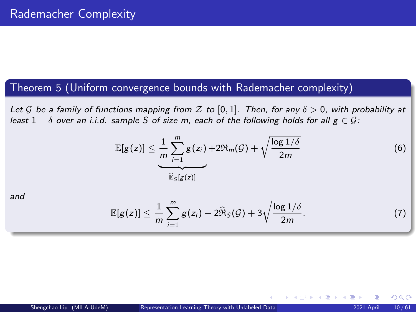# Theorem 5 (Uniform convergence bounds with Rademacher complexity)

<span id="page-9-0"></span>Let G be a family of functions mapping from Z to [0,1]. Then, for any  $\delta > 0$ , with probability at least  $1 - \delta$  over an i.i.d. sample S of size m, each of the following holds for all  $g \in \mathcal{G}$ :

$$
\mathbb{E}[g(z)] \leq \underbrace{\frac{1}{m} \sum_{i=1}^{m} g(z_i)}_{\widehat{\mathbb{E}}_S[g(z)]} + 2\Re_m(\mathcal{G}) + \sqrt{\frac{\log 1/\delta}{2m}} \tag{6}
$$

and

$$
\mathbb{E}[g(z)] \leq \frac{1}{m} \sum_{i=1}^{m} g(z_i) + 2\widehat{\Re}_S(\mathcal{G}) + 3\sqrt{\frac{\log 1/\delta}{2m}}.
$$
 (7)

イロメ イ御 メイヨメ イヨ

 $\Omega$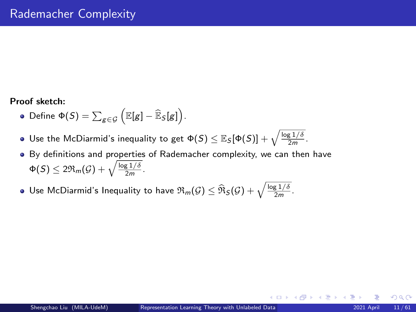#### Proof sketch:

- Define  $\Phi(S) = \sum_{g \in \mathcal{G}} (\mathbb{E}[g] \widehat{\mathbb{E}}_S[g])$ .
- Use the McDiarmid's inequality to get  $\Phi(S) \leq \mathbb{E}_{S}[\Phi(S)] + \sqrt{\frac{\log 1/\delta}{2m}}.$
- By definitions and properties of Rademacher complexity, we can then have  $\Phi(\mathcal{S}) \leq 2 \mathfrak{R}_{m}(\mathcal{G}) + \sqrt{\frac{\log 1/\delta}{2m}}.$
- Use McDiarmid's Inequality to have  $\Re_m(\mathcal{G}) \leq \widehat{\Re}_{\mathcal{S}}(\mathcal{G}) + \sqrt{\frac{\log 1/\delta}{2m}}$ .

 $\Omega$ 

K ロ ⊁ K 個 ≯ K 差 ⊁ K 差 ⊁.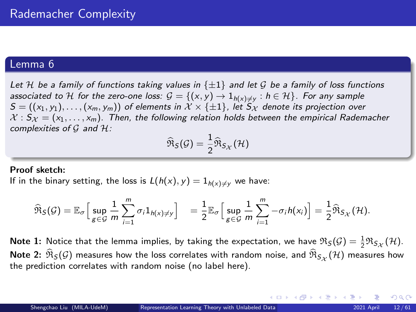#### <span id="page-11-0"></span>Lemma 6

<span id="page-11-1"></span>Let H be a family of functions taking values in  $\{\pm 1\}$  and let G be a family of loss functions associated to  ${\mathcal H}$  for the zero-one loss:  ${\mathcal G} = \{ (x,y) \to 1_{h(x) \neq y} : h \in {\mathcal H} \}$  . For any sample  $S = ((x_1, y_1), \ldots, (x_m, y_m))$  of elements in  $\mathcal{X} \times \{\pm 1\}$ , let  $S_{\mathcal{X}}$  denote its projection over  $X : S_X = (x_1, \ldots, x_m)$ . Then, the following relation holds between the empirical Rademacher complexities of G and H:

$$
\widehat{\mathfrak{R}}_{\mathcal{S}}(\mathcal{G}) = \frac{1}{2} \widehat{\mathfrak{R}}_{\mathcal{S}_{\mathcal{X}}}(\mathcal{H})
$$

#### Proof sketch:

If in the binary setting, the loss is  $L(h(x), y) = 1_{h(x)\neq y}$  we have:

$$
\widehat{\mathfrak{R}}_{\mathcal{S}}(\mathcal{G}) = \mathbb{E}_{\sigma} \Big[ \sup_{g \in \mathcal{G}} \frac{1}{m} \sum_{i=1}^{m} \sigma_{i} 1_{h(x) \neq y} \Big] = \frac{1}{2} \mathbb{E}_{\sigma} \Big[ \sup_{g \in \mathcal{G}} \frac{1}{m} \sum_{i=1}^{m} -\sigma_{i} h(x_{i}) \Big] = \frac{1}{2} \widehat{\mathfrak{R}}_{\mathcal{S}_{\mathcal{X}}}(\mathcal{H}).
$$

**Note 1:** Notice that the lemma implies, by taking the expectation, we have  $\Re_S(\mathcal{G}) = \frac{1}{2} \Re_{S_{\mathcal{X}}}(\mathcal{H})$ . Note 2:  $\mathfrak{R}_{\mathcal{S}}(\mathcal{G})$  measures how the loss correlates with random noise, and  $\mathfrak{R}_{\mathcal{S}_{\mathcal{X}}}(\mathcal{H})$  measures how the prediction correlates with random noise (no label here).

 $\Omega$ 

イロメ イ部メ イヨメ イヨメ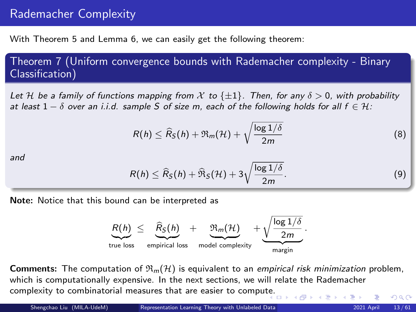# Rademacher Complexity

With Theorem [5](#page-9-0) and Lemma [6,](#page-11-1) we can easily get the following theorem:

Theorem 7 (Uniform convergence bounds with Rademacher complexity - Binary Classification)

<span id="page-12-0"></span>Let H be a family of functions mapping from X to  $\{\pm 1\}$ . Then, for any  $\delta > 0$ , with probability at least  $1 - \delta$  over an i.i.d. sample S of size m, each of the following holds for all  $f \in \mathcal{H}$ :

$$
R(h) \leq \widehat{R}_{S}(h) + \mathfrak{R}_{m}(\mathcal{H}) + \sqrt{\frac{\log 1/\delta}{2m}} \tag{8}
$$

and

$$
R(h) \leq \widehat{R}_{\mathcal{S}}(h) + \widehat{\mathfrak{R}}_{\mathcal{S}}(\mathcal{H}) + 3\sqrt{\frac{\log 1/\delta}{2m}}.\tag{9}
$$

Note: Notice that this bound can be interpreted as



**Comments:** The computation of  $\Re_m(\mathcal{H})$  is equivalent to an *empirical risk minimization* problem, which is computationally expensive. In the next sections, we will relate the Rademacher complexity to combinatorial measures that are easier to compu[te.](#page-11-0)  $QQ$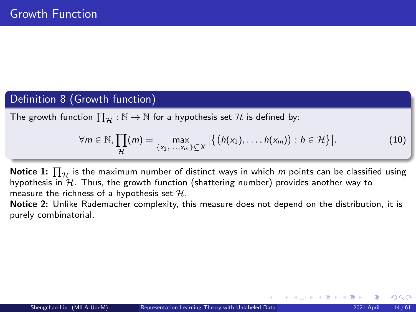# Definition 8 (Growth function)

The growth function  $\prod_{\mathcal{H}}:\mathbb{N}\to\mathbb{N}$  for a hypothesis set  $\mathcal H$  is defined by:

$$
\forall m \in \mathbb{N}, \prod_{\mathcal{H}}(m) = \max_{\{x_1, \ldots, x_m\} \subseteq X} \left| \left\{ \left( h(x_1), \ldots, h(x_m) \right) : h \in \mathcal{H} \right\} \right|.
$$
 (10)

**Notice 1:**  $\prod_{\mathcal{H}}$  is the maximum number of distinct ways in which  $m$  points can be classified using hypothesis in  $\mathcal{H}$ . Thus, the growth function (shattering number) provides another way to measure the richness of a hypothesis set  $H$ .

Notice 2: Unlike Rademacher complexity, this measure does not depend on the distribution, it is purely combinatorial.

 $\Omega$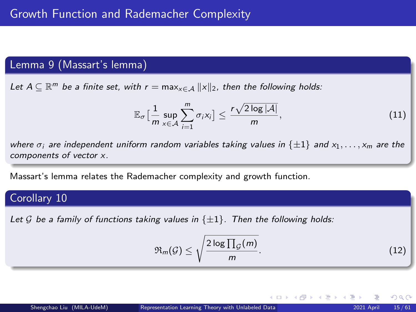# Lemma 9 (Massart's lemma)

Let  $A \subseteq \mathbb{R}^m$  be a finite set, with  $r = \max_{x \in A} ||x||_2$ , then the following holds:

$$
\mathbb{E}_{\sigma}\left[\frac{1}{m}\sup_{x\in\mathcal{A}}\sum_{i=1}^{m}\sigma_{i}x_{i}\right]\leq\frac{r\sqrt{2\log|\mathcal{A}|}}{m},\tag{11}
$$

where  $\sigma_i$  are independent uniform random variables taking values in  $\{\pm 1\}$  and  $x_1, \ldots, x_m$  are the components of vector x.

Massart's lemma relates the Rademacher complexity and growth function.

### Corollary 10

<span id="page-14-0"></span>Let G be a family of functions taking values in  $\{\pm 1\}$ . Then the following holds:

$$
\mathfrak{R}_m(\mathcal{G}) \le \sqrt{\frac{2\log\prod_{\mathcal{G}}(m)}{m}}.\tag{12}
$$

K ロト K 御 ト K 君 ト K 君 K

 $QQ$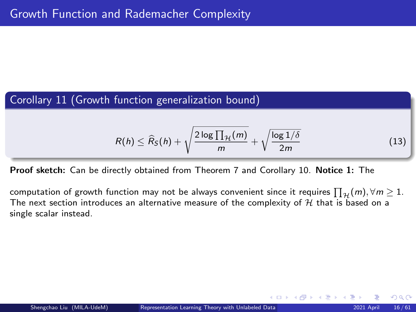# <span id="page-15-0"></span>Corollary 11 (Growth function generalization bound)

$$
R(h) \leq \widehat{R}_S(h) + \sqrt{\frac{2\log\prod_{\mathcal{H}}(m)}{m}} + \sqrt{\frac{\log 1/\delta}{2m}} \tag{13}
$$

Proof sketch: Can be directly obtained from Theorem [7](#page-12-0) and Corollary [10.](#page-14-0) Notice 1: The

computation of growth function may not be always convenient since it requires  $\prod_{\mathcal{H}}(m), \forall m\geq 1.$ The next section introduces an alternative measure of the complexity of  $H$  that is based on a single scalar instead.

 $\Omega$ 

イロメ イ御 メイヨメ イヨ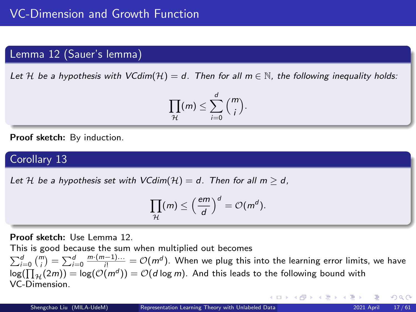### Lemma 12 (Sauer's lemma)

<span id="page-16-0"></span>Let H be a hypothesis with  $VCdim(\mathcal{H}) = d$ . Then for all  $m \in \mathbb{N}$ , the following inequality holds:

$$
\prod_{\mathcal{H}}(m) \leq \sum_{i=0}^d {m \choose i}.
$$

Proof sketch: By induction.

# Corollary 13

<span id="page-16-1"></span>Let H be a hypothesis set with  $VCdim(\mathcal{H}) = d$ . Then for all  $m > d$ .

$$
\prod_{\mathcal{H}}(m) \leq \left(\frac{em}{d}\right)^d = \mathcal{O}(m^d).
$$

Proof sketch: Use Lemma [12.](#page-16-0)

This is good because the sum when multiplied out becomes  $\sum_{i=0}^d\binom{m}{i}=\sum_{i=0}^d\frac{m\cdot(m-1)\dots}{i!}=\mathcal{O}(m^d).$  When we plug this into the learning error limits, we have  $\log(\prod_{\mathcal{H}}(2m)) = \log(\mathcal{O}(m^d)) = \mathcal{O}(d \log m)$ . And this leads to the following bound with VC-Dimension.

つへへ

イロト イ部 トイモト イモト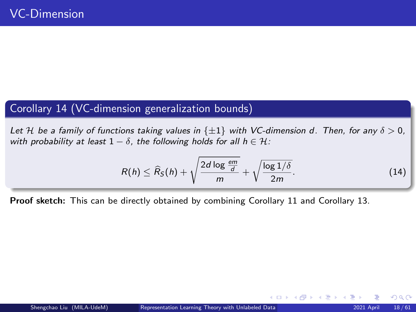# Corollary 14 (VC-dimension generalization bounds)

Let H be a family of functions taking values in  $\{\pm 1\}$  with VC-dimension d. Then, for any  $\delta > 0$ , with probability at least  $1 - \delta$ , the following holds for all  $h \in \mathcal{H}$ :

$$
R(h) \leq \widehat{R}_{\mathcal{S}}(h) + \sqrt{\frac{2d \log \frac{em}{d}}{m}} + \sqrt{\frac{\log 1/\delta}{2m}}.
$$
 (14)

Proof sketch: This can be directly obtained by combining Corollary [11](#page-15-0) and Corollary [13.](#page-16-1)

 $\Omega$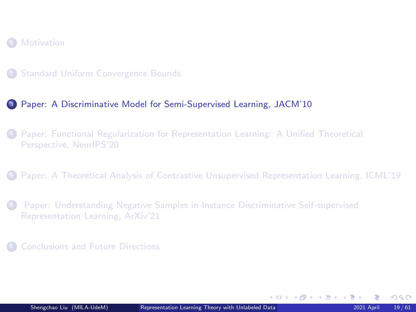#### <span id="page-18-0"></span>**[Motivation](#page-2-0)**

#### <sup>3</sup> [Paper: A Discriminative Model for Semi-Supervised Learning, JACM'10](#page-18-0)

<sup>4</sup> [Paper: Functional Regularization for Representation Learning: A Unified Theoretical](#page-25-0) [Perspective, NeurIPS'20](#page-25-0)

<sup>5</sup> [Paper: A Theoretical Analysis of Contrastive Unsupervised Representation Learning, ICML'19](#page-35-0)

<sup>6</sup> [Paper: Understanding Negative Samples in Instance Discriminative Self-supervised](#page-52-0) [Representation Learning, ArXiv'21](#page-52-0)

<sup>7</sup> [Conclusions and Future Directions](#page-59-0)

 $\Omega$ 

K ロ > K @ > K ミ > K ミ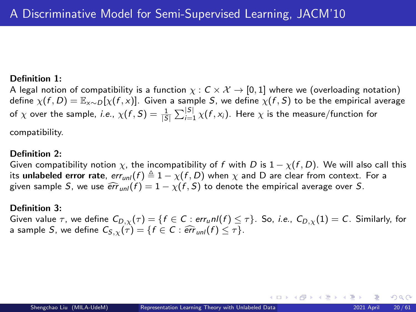#### Definition 1:

A legal notion of compatibility is a function  $\chi : C \times \mathcal{X} \to [0,1]$  where we (overloading notation) define  $\chi(f, D) = \mathbb{E}_{x \sim D}[\chi(f, x)]$ . Given a sample S, we define  $\chi(f, S)$  to be the empirical average of  $\chi$  over the sample, *i.e.*,  $\chi(f,S)=\frac{1}{|S|}\sum_{i=1}^{|S|}\chi(f,x_i).$  Here  $\chi$  is the measure/function for

compatibility.

#### Definition 2:

Given compatibility notion  $\chi$ , the incompatibility of f with D is  $1 - \chi(f, D)$ . We will also call this its unlabeled error rate,  $err_{unl}(f) \triangleq 1 - \chi(f, D)$  when  $\chi$  and D are clear from context. For a given sample S, we use  $\widehat{err}_{unl}(f) = 1 - \chi(f, S)$  to denote the empirical average over S.

#### Definition 3:

Given value  $\tau$ , we define  $C_{D,\gamma}(\tau) = \{f \in C : err_{u}nI(f) \leq \tau\}$ . So, *i.e.*,  $C_{D,\gamma}(1) = C$ . Similarly, for a sample S, we define  $C_{S, \chi}(\tau) = \{f \in C : \widehat{err}_{unl}(f) \leq \tau\}.$ 

 $\Omega$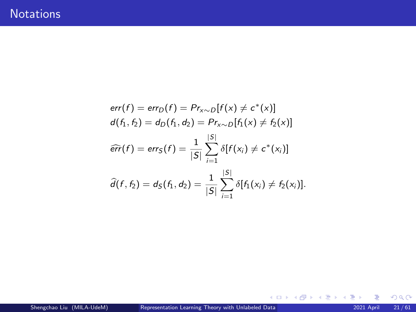$$
err(f) = err_D(f) = Pr_{x \sim D}[f(x) \neq c^*(x)]
$$
  
\n
$$
d(f_1, f_2) = d_D(f_1, d_2) = Pr_{x \sim D}[f_1(x) \neq f_2(x)]
$$
  
\n
$$
\widehat{err}(f) = err_S(f) = \frac{1}{|S|} \sum_{i=1}^{|S|} \delta[f(x_i) \neq c^*(x_i)]
$$
  
\n
$$
\widehat{d}(f, f_2) = d_S(f_1, d_2) = \frac{1}{|S|} \sum_{i=1}^{|S|} \delta[f_1(x_i) \neq f_2(x_i)].
$$

 $299$ 

 $(1 - 1)$   $(1 - 1)$   $(1 - 1)$   $(1 - 1)$   $(1 - 1)$   $(1 - 1)$   $(1 - 1)$   $(1 - 1)$   $(1 - 1)$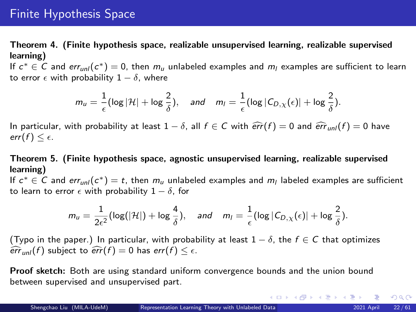# <span id="page-21-0"></span>Finite Hypothesis Space

Theorem 4. (Finite hypothesis space, realizable unsupervised learning, realizable supervised learning)

If  $c^* \in C$  and  $err_{unl}(c^*) = 0$ , then  $m_u$  unlabeled examples and  $m_l$  examples are sufficient to learn to error  $\epsilon$  with probability  $1 - \delta$ , where

$$
m_u = \frac{1}{\epsilon} (\log |\mathcal{H}| + \log \frac{2}{\delta}), \quad \text{and} \quad m_l = \frac{1}{\epsilon} (\log |C_{D,\chi}(\epsilon)| + \log \frac{2}{\delta}).
$$

In particular, with probability at least  $1 - \delta$ , all  $f \in C$  with  $\widehat{err}(f) = 0$  and  $\widehat{err}_{unl}(f) = 0$  have err(f)  $\leq \epsilon$ .

Theorem 5. (Finite hypothesis space, agnostic unsupervised learning, realizable supervised learning)

If  $c^* \in C$  and err<sub>unl</sub> $(c^*) = t$ , then  $m_u$  unlabeled examples and  $m_l$  labeled examples are sufficient to learn to error  $\epsilon$  with probability  $1 - \delta$ , for

$$
m_u = \frac{1}{2\varepsilon^2} (\log(|\mathcal{H}|) + \log \frac{4}{\delta}), \quad \text{and} \quad m_l = \frac{1}{\varepsilon} (\log |C_{D,\chi}(\varepsilon)| + \log \frac{2}{\delta}).
$$

(Typo in the paper.) In particular, with probability at least  $1 - \delta$ , the  $f \in \mathcal{C}$  that optimizes  $\widehat{err}_{unl}(f)$  subject to  $\widehat{err}(f) = 0$  has  $err(f) \leq \epsilon$ .

Proof sketch: Both are using standard uniform convergence bounds and the union bound between supervised and unsupervised part.

 $299$ 

メロトメ 御 トメ 君 トメ 君 トー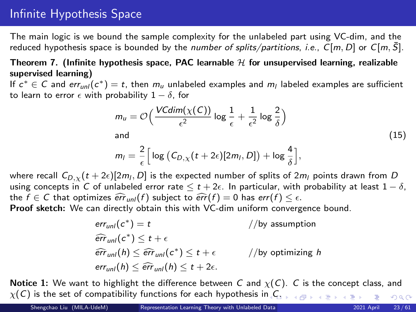# Infinite Hypothesis Space

The main logic is we bound the sample complexity for the unlabeled part using VC-dim, and the reduced hypothesis space is bounded by the number of splits/partitions, i.e.,  $C[m, D]$  or  $C[m, S]$ .

### Theorem 7. (Infinite hypothesis space, PAC learnable  $H$  for unsupervised learning, realizable supervised learning)

If  $c^* \in C$  and err<sub>unl</sub> $(c^*) = t$ , then  $m_u$  unlabeled examples and  $m_l$  labeled examples are sufficient to learn to error  $\epsilon$  with probability  $1 - \delta$ , for

$$
m_u = \mathcal{O}\left(\frac{VCdim(\chi(C))}{\epsilon^2} \log \frac{1}{\epsilon} + \frac{1}{\epsilon^2} \log \frac{2}{\delta}\right)
$$
  
and (15)

$$
m_{l} = \frac{2}{\epsilon} \Big[ \log \big( C_{D,\chi}(t+2\epsilon)[2m_{l},D] \big) + \log \frac{4}{\delta} \Big],
$$

where recall  $C_{D,\chi}(t+2\epsilon)[2m_l,D]$  is the expected number of splits of  $2m_l$  points drawn from  $D$ using concepts in C of unlabeled error rate  $\leq t + 2\epsilon$ . In particular, with probability at least  $1 - \delta$ , the  $f \in C$  that optimizes  $\widehat{err}_{unl}(f)$  subject to  $\widehat{err}(f) = 0$  has  $err(f) \leq \epsilon$ . Proof sketch: We can directly obtain this with VC-dim uniform convergence bound.

> $err_{unl}(c^*$  $//$ by assumption  $\widehat{err}_{unl}(c^*) \leq t + \epsilon$  $\widehat{err}_{unl}(h) \leq \widehat{err}_{unl}(c^*)$  $//$ by optimizing h  $err_{unl}(h) \leq \widehat{err}_{unl}(h) \leq t + 2\epsilon.$

**Notice 1:** We want to highlight the difference between C and  $\chi(C)$ . C is the concept class, and  $\chi(C)$  $\chi(C)$  $\chi(C)$  is the set of compatibility functions for each hypothesis in  $C$ .  $2990$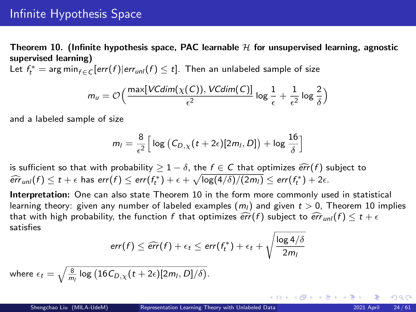Theorem 10. (Infinite hypothesis space, PAC learnable  $H$  for unsupervised learning, agnostic supervised learning)

Let  $f_t^* = \arg \min_{f \in C} [err(f)|err_{unl}(f) \leq t]$ . Then an unlabeled sample of size

$$
m_u = \mathcal{O}\Big(\frac{\max[VCdim(\chi(C)),VCdim(C)]}{\epsilon^2}\log\frac{1}{\epsilon} + \frac{1}{\epsilon^2}\log\frac{2}{\delta}\Big)
$$

and a labeled sample of size

$$
m_l = \frac{8}{\epsilon^2} \Big[ \log \big( C_{D,\chi}(t+2\epsilon)[2m_l,D] \big) + \log \frac{16}{\delta} \Big]
$$

is sufficient so that with probability  $> 1 - \delta$ , the  $f \in C$  that optimizes  $\widehat{err}(f)$  subject to  $\widehat{err}_{unl}(f) \le t + \epsilon$  has  $err(f) \le err(f_t^*) + \epsilon + \sqrt{\log(4/\delta)/(2m_l)} \le err(f_t^*) + 2\epsilon$ .

Interpretation: One can also state Theorem 10 in the form more commonly used in statistical learning theory: given any number of labeled examples  $(m<sub>l</sub>)$  and given  $t > 0$ , Theorem 10 implies that with high probability, the function f that optimizes  $\widehat{err}(f)$  subject to  $\widehat{err}_{unl}(f) \le t + \epsilon$ satisfies

$$
err(f) \leq \widehat{err}(f) + \epsilon_t \leq err(f_t^*) + \epsilon_t + \sqrt{\frac{\log 4/\delta}{2m_1}}
$$

where  $\epsilon_t = \sqrt{\frac{8}{m_l}\log\left(16\mathcal{C}_{D,\chi}(t+2\epsilon)[2m_l,D]/\delta\right)}.$ 

 $\Omega$ 

(ロ) (個) (星) (星)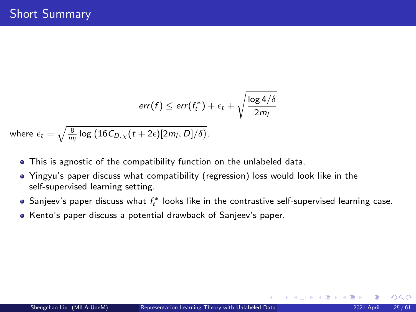$$
err(f) \leq err(f_t^*) + \epsilon_t + \sqrt{\frac{\log 4/\delta}{2m_l}}
$$

where  $\epsilon_t = \sqrt{\frac{8}{m_l}\log\left(16C_{D,\chi}(t+2\epsilon)[2m_l,D]/\delta\right)}.$ 

- This is agnostic of the compatibility function on the unlabeled data.
- Yingyu's paper discuss what compatibility (regression) loss would look like in the self-supervised learning setting.
- Sanjeev's paper discuss what  $f_t^*$  looks like in the contrastive self-supervised learning case.
- Kento's paper discuss a potential drawback of Sanjeev's paper.

 $\Omega$ 

(ロ) (個) (差) (差)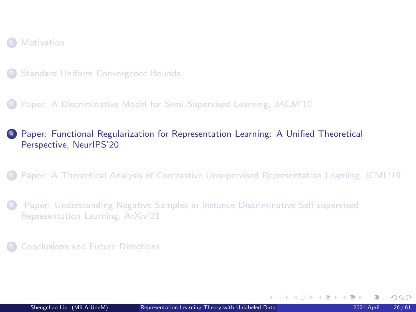<span id="page-25-0"></span>

- <sup>2</sup> [Standard Uniform Convergence Bounds](#page-4-0)
- <sup>3</sup> [Paper: A Discriminative Model for Semi-Supervised Learning, JACM'10](#page-18-0)

#### <sup>4</sup> [Paper: Functional Regularization for Representation Learning: A Unified Theoretical](#page-25-0) [Perspective, NeurIPS'20](#page-25-0)

- <sup>5</sup> [Paper: A Theoretical Analysis of Contrastive Unsupervised Representation Learning, ICML'19](#page-35-0)
- <sup>6</sup> [Paper: Understanding Negative Samples in Instance Discriminative Self-supervised](#page-52-0) [Representation Learning, ArXiv'21](#page-52-0)
- <sup>7</sup> [Conclusions and Future Directions](#page-59-0)

 $\Omega$ 

K ロ > K @ > K ミ > K ミ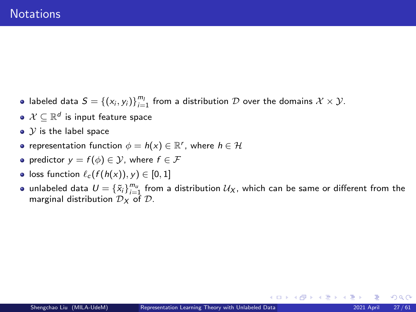- labeled data  $S = \{(x_i, y_i)\}_{i=1}^{m_l}$  from a distribution  $\mathcal D$  over the domains  $\mathcal X \times \mathcal Y$ .
- $\mathcal{X} \subseteq \mathbb{R}^d$  is input feature space
- $\bullet$   $\mathcal Y$  is the label space
- representation function  $\phi = h(x) \in \mathbb{R}^r$ , where  $h \in \mathcal{H}$
- predictor  $y = f(\phi) \in \mathcal{Y}$ , where  $f \in \mathcal{F}$
- loss function  $\ell_c$   $(f(h(x)), y) \in [0, 1]$
- unlabeled data  $U = {\{\tilde{x}_i\}}_{i=1}^{m_u}$  from a distribution  $\mathcal{U}_X$ , which can be same or different from the marginal distribution  $\mathcal{D}_X$  of  $\mathcal{D}$ .

 $\Omega$ 

**≮ロ ▶ ⊀ 御 ▶ ⊀ 君 ▶ ⊀ 君 ▶**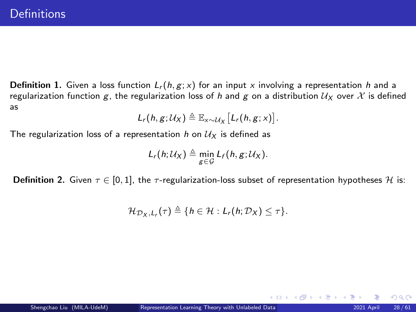**Definition 1.** Given a loss function  $L_r(h, g; x)$  for an input x involving a representation h and a regularization function g, the regularization loss of h and g on a distribution  $U_X$  over X is defined as

$$
L_r(h,g;\mathcal{U}_X)\triangleq \mathbb{E}_{x\sim \mathcal{U}_X}\big[L_r(h,g;x)\big].
$$

The regularization loss of a representation h on  $\mathcal{U}_X$  is defined as

$$
L_r(h; \mathcal{U}_X) \triangleq \min_{g \in \mathcal{G}} L_f(h, g; \mathcal{U}_X).
$$

**Definition 2.** Given  $\tau \in [0,1]$ , the  $\tau$ -regularization-loss subset of representation hypotheses H is:

$$
\mathcal{H}_{\mathcal{D}_X,L_r}(\tau) \triangleq \{h \in \mathcal{H}: L_r(h;\mathcal{D}_X) \leq \tau\}.
$$

 $\Omega$ 

K ロ ▶ K 御 ▶ K 君 ▶ K 君 ▶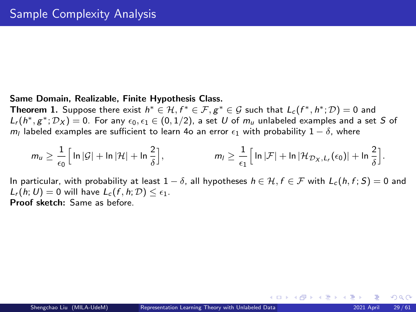#### Same Domain, Realizable, Finite Hypothesis Class.

**Theorem 1.** Suppose there exist  $h^* \in H, f^* \in \mathcal{F}, g^* \in \mathcal{G}$  such that  $L_c(f^*,h^*; \mathcal{D}) = 0$  and  $L_r(h^*,g^*; \mathcal{D}_X) = 0$ . For any  $\epsilon_0, \epsilon_1 \in (0,1/2)$ , a set  $U$  of  $m_u$  unlabeled examples and a set  $S$  of  $m_l$  labeled examples are sufficient to learn 4o an error  $\epsilon_1$  with probability  $1-\delta$ , where

$$
m_u \geq \frac{1}{\epsilon_0} \Big[ \ln |\mathcal{G}| + \ln |\mathcal{H}| + \ln \frac{2}{\delta} \Big], \qquad m_l \geq \frac{1}{\epsilon_1} \Big[ \ln |\mathcal{F}| + \ln |\mathcal{H}_{\mathcal{D}_X, L_r}(\epsilon_0)| + \ln \frac{2}{\delta} \Big].
$$

In particular, with probability at least  $1 - \delta$ , all hypotheses  $h \in \mathcal{H}$ ,  $f \in \mathcal{F}$  with  $L_c(h, f; S) = 0$  and  $L_r(h; U) = 0$  will have  $L_c(f, h; \mathcal{D}) \leq \epsilon_1$ . Proof sketch: Same as before.

 $\Omega$ 

イロメ イ部メ イヨメ イヨメ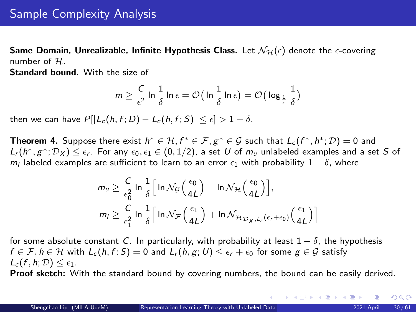Same Domain, Unrealizable, Infinite Hypothesis Class. Let  $\mathcal{N}_{\mathcal{H}}(\epsilon)$  denote the  $\epsilon$ -covering number of  $H$ .

Standard bound. With the size of

$$
m \geq \frac{C}{\epsilon^2}\ln \frac{1}{\delta}\ln \epsilon = \mathcal{O}\big(\ln \frac{1}{\delta}\ln \epsilon\big) = \mathcal{O}\big(\log_{\frac{1}{\epsilon}} \frac{1}{\delta}\big)
$$

then we can have  $P[|L_c(h, f; D) - L_c(h, f; S)| \leq \epsilon] > 1 - \delta$ .

**Theorem 4.** Suppose there exist  $h^* \in H, f^* \in \mathcal{F}, g^* \in \mathcal{G}$  such that  $L_c(f^*, h^*; \mathcal{D}) = 0$  and  $L_r(h^*,g^*; \mathcal{D}_X)\leq \epsilon_r.$  For any  $\epsilon_0,\epsilon_1\in (0,1/2)$ , a set  $U$  of  $m_u$  unlabeled examples and a set  $S$  of  $m_l$  labeled examples are sufficient to learn to an error  $\epsilon_1$  with probability  $1-\delta$ , where

$$
m_u \geq \frac{C}{\epsilon_0^2} \ln \frac{1}{\delta} \Big[ \ln \mathcal{N}_{\mathcal{G}} \Big( \frac{\epsilon_0}{4L} \Big) + \ln \mathcal{N}_{\mathcal{H}} \Big( \frac{\epsilon_0}{4L} \Big) \Big],
$$
  

$$
m_l \geq \frac{C}{\epsilon_1^2} \ln \frac{1}{\delta} \Big[ \ln \mathcal{N}_{\mathcal{F}} \Big( \frac{\epsilon_1}{4L} \Big) + \ln \mathcal{N}_{\mathcal{H}_{\mathcal{D}_X, L_r}(\epsilon_r + \epsilon_0)} \Big( \frac{\epsilon_1}{4L} \Big) \Big]
$$

for some absolute constant C. In particularly, with probability at least  $1 - \delta$ , the hypothesis  $f \in \mathcal{F}, h \in \mathcal{H}$  with  $L_c(h, f; S) = 0$  and  $L_r(h, g; U) \leq \epsilon_r + \epsilon_0$  for some  $g \in \mathcal{G}$  satisfy  $L_c(f, h; \mathcal{D}) \leq \epsilon_1$ .

Proof sketch: With the standard bound by covering numbers, the bound can be easily derived.

 $298$ 

4 ロ ) 4 個 ) 4 差 ) 4 差 )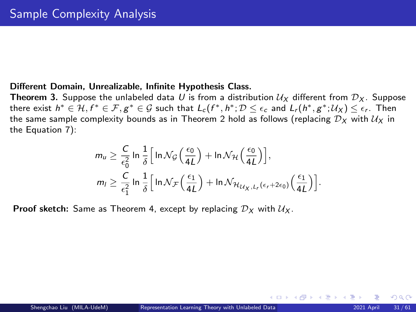#### Different Domain, Unrealizable, Infinite Hypothesis Class.

**Theorem 3.** Suppose the unlabeled data U is from a distribution  $U_X$  different from  $D_X$ . Suppose there exist  $h^*\in H, f^*\in \mathcal{F}, g^*\in \mathcal{G}$  such that  $L_c(f^*,h^*; \mathcal{D}\leq \epsilon_c$  and  $L_r(h^*,g^*; \mathcal{U}_X)\leq \epsilon_r$ . Then the same sample complexity bounds as in Theorem 2 hold as follows (replacing  $\mathcal{D}_X$  with  $\mathcal{U}_X$  in the Equation 7):

$$
m_u \geq \frac{C}{\epsilon_0^2} \ln \frac{1}{\delta} \Big[ \ln \mathcal{N}_{\mathcal{G}} \Big( \frac{\epsilon_0}{4L} \Big) + \ln \mathcal{N}_{\mathcal{H}} \Big( \frac{\epsilon_0}{4L} \Big) \Big],
$$
  

$$
m_l \geq \frac{C}{\epsilon_1^2} \ln \frac{1}{\delta} \Big[ \ln \mathcal{N}_{\mathcal{F}} \Big( \frac{\epsilon_1}{4L} \Big) + \ln \mathcal{N}_{\mathcal{H}_{\mathcal{U}_{X}, L_r} \left( \epsilon_r + 2\epsilon_0 \right)} \Big( \frac{\epsilon_1}{4L} \Big) \Big].
$$

**Proof sketch:** Same as Theorem 4, except by replacing  $D_x$  with  $U_x$ .

 $\Omega$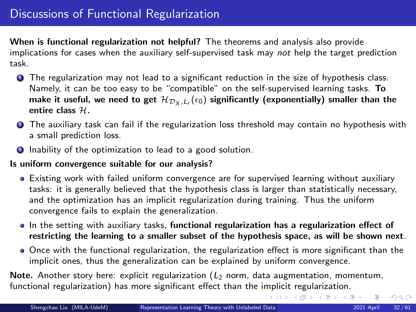When is functional regularization not helpful? The theorems and analysis also provide implications for cases when the auxiliary self-supervised task may not help the target prediction task.

- **1** The regularization may not lead to a significant reduction in the size of hypothesis class. Namely, it can be too easy to be "compatible" on the self-supervised learning tasks. To make it useful, we need to get  $\mathcal{H}_{\mathcal{D}_X,L_r}(\epsilon_0)$  significantly (exponentially) smaller than the entire class  $H$ .
- <sup>2</sup> The auxiliary task can fail if the regularization loss threshold may contain no hypothesis with a small prediction loss.
- **3** Inability of the optimization to lead to a good solution.

#### Is uniform convergence suitable for our analysis?

- Existing work with failed uniform convergence are for supervised learning without auxiliary tasks: it is generally believed that the hypothesis class is larger than statistically necessary, and the optimization has an implicit regularization during training. Thus the uniform convergence fails to explain the generalization.
- In the setting with auxiliary tasks, functional regularization has a regularization effect of restricting the learning to a smaller subset of the hypothesis space, as will be shown next.
- Once with the functional regularization, the regularization effect is more significant than the implicit ones, thus the generalization can be explained by uniform convergence.

Note. Another story here: explicit regularization  $(L_2 \text{ norm}, \text{data augmentation}, \text{momentum},$ functional regularization) has more significant effect than the implicit regularization.

 $QQ$ 

K ロ ▶ K 御 ▶ K 君 ▶ K 君 ▶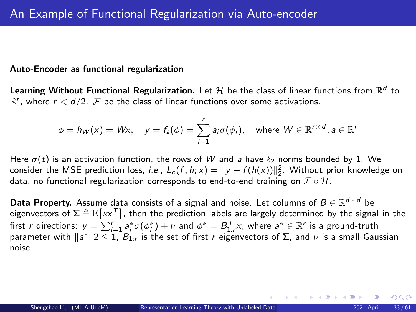#### Auto-Encoder as functional regularization

Learning Without Functional Regularization. Let  ${\cal H}$  be the class of linear functions from  $\mathbb{R}^d$  to  $\mathbb{R}^r$ , where  $r < d/2$ .  $\mathcal F$  be the class of linear functions over some activations.

$$
\phi = h_W(x) = Wx, \quad y = f_a(\phi) = \sum_{i=1}^r a_i \sigma(\phi_i), \quad \text{where } W \in \mathbb{R}^{r \times d}, a \in \mathbb{R}^r
$$

Here  $\sigma(t)$  is an activation function, the rows of W and a have  $\ell_2$  norms bounded by 1. We consider the MSE prediction loss, *i.e.*,  $L_c(f, h; x) = ||y - f(h(x))||_2^2$ . Without prior knowledge on data, no functional regularization corresponds to end-to-end training on  $\mathcal{F} \circ \mathcal{H}$ .

**Data Property.** Assume data consists of a signal and noise. Let columns of  $B \in \mathbb{R}^{d \times d}$  be eigenvectors of  $\Sigma\triangleq\mathbb{E}\big[\mathsf{x}\mathsf{x}^\mathcal{T}\big]$ , then the prediction labels are largely determined by the signal in the first r directions:  $y = \sum_{i=1}^r a_i^*\sigma(\phi_i^*) + \nu$  and  $\phi^* = B_{1:r}^\mathsf{T} x$ , where  $a^* \in \mathbb{R}^r$  is a ground-truth parameter with  $\|a^*\|2\leq 1$ ,  $B_{1:r}$  is the set of first r eigenvectors of Σ, and  $\nu$  is a small Gaussian noise.

 $\Omega$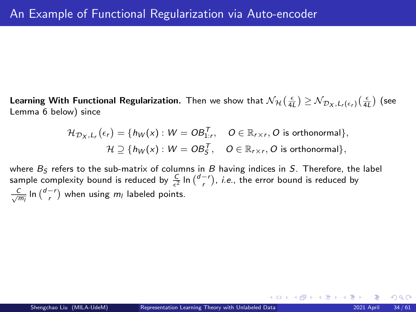Learning With Functional Regularization. Then we show that  $\mathcal{N}_\mathcal{H}(\frac{\epsilon}{4L}) \geq \mathcal{N}_{\mathcal{D}_X,L_r(\epsilon_r)}(\frac{\epsilon}{4L})$  (see Lemma 6 below) since

$$
\mathcal{H}_{\mathcal{D}_X,L_r}(\epsilon_r) = \{h_W(x) : W = OB_{1:r}^T, \quad O \in \mathbb{R}_{r \times r}, O \text{ is orthonormal}\},\newline \mathcal{H} \supseteq \{h_W(x) : W = OB_S^T, \quad O \in \mathbb{R}_{r \times r}, O \text{ is orthonormal}\},\newline
$$

where  $B<sub>S</sub>$  refers to the sub-matrix of columns in B having indices in S. Therefore, the label sample complexity bound is reduced by  $\frac{C}{\epsilon^2} \ln {\binom{d-r}{r}}$ , *i.e.*, the error bound is reduced by  $\frac{C}{\sqrt{m_l}}$  ln  $\binom{d-r}{r}$  when using  $m_l$  labeled points.

 $\Omega$ 

K ロ ▶ K 御 ▶ K 君 ▶ K 君 ▶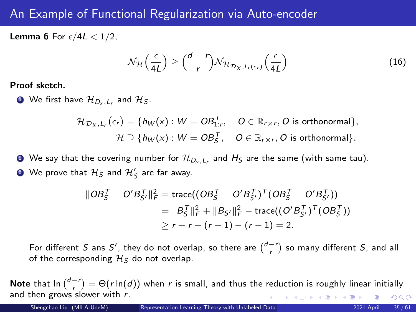# An Example of Functional Regularization via Auto-encoder

**Lemma 6** For  $\epsilon/4L < 1/2$ ,

$$
\mathcal{N}_{\mathcal{H}}\left(\frac{\epsilon}{4L}\right) \ge \binom{d-r}{r} \mathcal{N}_{\mathcal{H}_{\mathcal{D}_X, L_r(\epsilon_r)}}\left(\frac{\epsilon}{4L}\right) \tag{16}
$$

Proof sketch.

 $\bullet$  We first have  $\mathcal{H}_{D_{\mathsf{x}},L_{\mathsf{r}}}$  and  $\mathcal{H}_\mathcal{S}.$ 

$$
\mathcal{H}_{\mathcal{D}_X,L_r}(\epsilon_r) = \{h_W(x) : W = OB_{1:r}^T, \quad O \in \mathbb{R}_{r \times r}, O \text{ is orthonormal}\},\newline \mathcal{H} \supseteq \{h_W(x) : W = OB_5^T, \quad O \in \mathbb{R}_{r \times r}, O \text{ is orthonormal}\},\newline
$$

 $\bullet$  We say that the covering number for  $\mathcal{H}_{D_{\mathsf{x}},L_{\mathsf{r}}}$  and  $H_{\mathsf{S}}$  are the same (with same tau). **3** We prove that  $\mathcal{H}_{\mathcal{S}}$  and  $\mathcal{H}'_{\mathcal{S}}$  are far away.

$$
\|OB_S^T - O'B_{S'}^T\|_F^2 = \text{trace}((OB_S^T - O'B_{S'}^T)^T (OB_S^T - O'B_{S'}^T))
$$
  
=  $||B_S^T||_F^2 + ||B_{S'}||_F^2 - \text{trace}((O'B_{S'}^T)^T (OB_S^T))$   
 $\ge r + r - (r - 1) - (r - 1) = 2.$ 

For different S ans S', they do not overlap, so there are  $\binom{d-r}{r}$  so many different S, and all of the corresponding  $\mathcal{H}_S$  do not overlap.

Note that  $\ln {\binom{d-r}{r}} = \Theta(r \ln(d))$  when r is small, and thus the reduction is roughly linear initially and then grows slower with  $r$ . K ロ ▶ K 御 ▶ K 君 ▶ K 君 ▶  $298$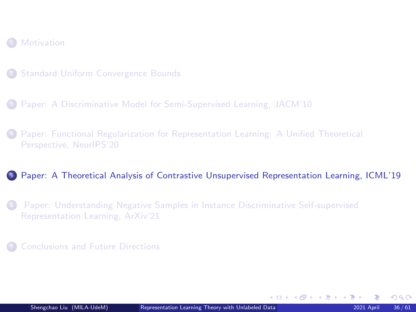#### <span id="page-35-0"></span>**[Motivation](#page-2-0)**

- <sup>2</sup> [Standard Uniform Convergence Bounds](#page-4-0)
- <sup>3</sup> [Paper: A Discriminative Model for Semi-Supervised Learning, JACM'10](#page-18-0)
- <sup>4</sup> [Paper: Functional Regularization for Representation Learning: A Unified Theoretical](#page-25-0) [Perspective, NeurIPS'20](#page-25-0)

#### <sup>5</sup> [Paper: A Theoretical Analysis of Contrastive Unsupervised Representation Learning, ICML'19](#page-35-0)

- <sup>6</sup> [Paper: Understanding Negative Samples in Instance Discriminative Self-supervised](#page-52-0) [Representation Learning, ArXiv'21](#page-52-0)
- <sup>7</sup> [Conclusions and Future Directions](#page-59-0)

 $\Omega$ 

K ロ > K @ > K ミ > K ミ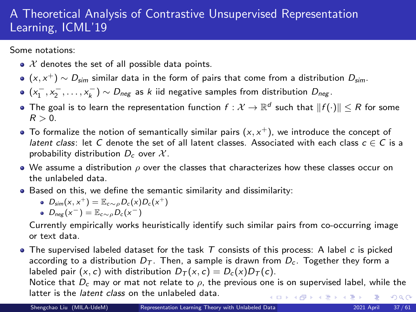# A Theoretical Analysis of Contrastive Unsupervised Representation Learning, ICML'19

Some notations:

- $\bullet$  X denotes the set of all possible data points.
- $(x, x^+) \sim D_{\textit{sim}}$  similar data in the form of pairs that come from a distribution  $D_{\textit{sim}}$ .
- $(x_1^-, x_2^-, \ldots, x_k^-) \sim D_{\text{neg}}$  as k iid negative samples from distribution  $D_{\text{neg}}$ .
- The goal is to learn the representation function  $f:\mathcal{X}\to\mathbb{R}^d$  such that  $\|f(\cdot)\|\leq R$  for some  $R > 0$ .
- To formalize the notion of semantically similar pairs  $(x, x^+)$ , we introduce the concept of latent class: let C denote the set of all latent classes. Associated with each class  $c \in C$  is a probability distribution  $D_c$  over  $\mathcal{X}$ .
- $\bullet$  We assume a distribution  $\rho$  over the classes that characterizes how these classes occur on the unlabeled data.
- Based on this, we define the semantic similarity and dissimilarity:

$$
\bullet \ \ D_{sim}(x,x^+) = \mathbb{E}_{c \sim \rho} D_c(x) D_c(x^+)
$$

$$
D_{neg}(x^-)=\mathbb{E}_{c\sim\rho}D_c(x^-)
$$

Currently empirically works heuristically identify such similar pairs from co-occurring image or text data.

 $\bullet$  The supervised labeled dataset for the task  $T$  consists of this process: A label  $c$  is picked according to a distribution  $D<sub>T</sub>$ . Then, a sample is drawn from  $D<sub>c</sub>$ . Together they form a labeled pair (x, c) with distribution  $D_T(x, c) = D_c(x)D_T(c)$ .

Notice that  $D_c$  may or mat not relate to  $\rho$ , the previous one is on supervised label, while the latter is the *latent class* on the unlabeled data. 4 ロ > 4 個 > 4 ミ > 4 ミ >  $299$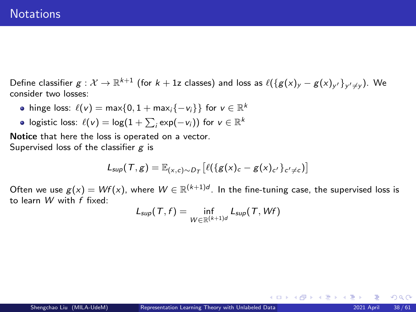## **Notations**

Define classifier  $g:\mathcal{X}\to\mathbb{R}^{k+1}$  (for  $k+1$ z classes) and loss as  $\ell(\{g(x)_y-g(x)_{y'}\}_{y'\neq y})$ . We consider two losses:

- hinge loss:  $\ell(v) = \max\{0, 1 + \max_i \{-v_i\}\}\$  for  $v \in \mathbb{R}^k$
- logistic loss:  $\ell(v) = \log(1 + \sum_i \exp(-v_i))$  for  $v \in \mathbb{R}^k$

Notice that here the loss is operated on a vector. Supervised loss of the classifier  $g$  is

$$
L_{\text{sup}}(\mathcal{T},g) = \mathbb{E}_{(x,c)\sim D_{\mathcal{T}}} \left[ \ell(\{g(x)_c - g(x)_{c'}\}_{c' \neq c}) \right]
$$

Often we use  $g(x) = Wf(x)$ , where  $W \in \mathbb{R}^{(k+1)d}$ . In the fine-tuning case, the supervised loss is to learn W with f fixed:

$$
L_{\text{sup}}(T, f) = \inf_{W \in \mathbb{R}^{(k+1)d}} L_{\text{sup}}(T, Wf)
$$

 $\Omega$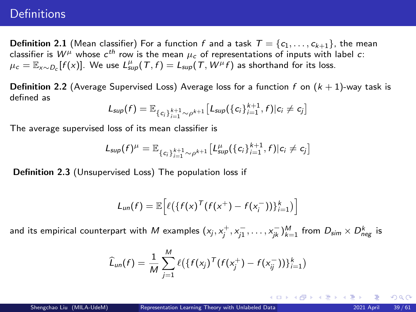# **Definitions**

**Definition 2.1** (Mean classifier) For a function f and a task  $T = \{c_1, \ldots, c_{k+1}\}\$ , the mean classifier is  $W^\mu$  whose  $\epsilon^{th}$  row is the mean  $\mu_c$  of representations of inputs with label  $c$ :  $\mu_c = \mathbb{E}_{x \sim D_c}[f(x)]$ . We use  $L_{\text{sup}}^{\mu}(\mathcal{T},f) = L_{\text{sup}}(\mathcal{T},W^{\mu}f)$  as shorthand for its loss.

**Definition 2.2** (Average Supervised Loss) Average loss for a function f on  $(k + 1)$ -way task is defined as

$$
L_{\text{sup}}(f) = \mathbb{E}_{\{c_i\}_{i=1}^{k+1} \sim \rho^{k+1}} \left[L_{\text{sup}}(\{c_i\}_{i=1}^{k+1}, f) | c_i \neq c_j\right]
$$

The average supervised loss of its mean classifier is

$$
L_{\text{sup}}(f)^{\mu} = \mathbb{E}_{\{c_i\}_{i=1}^{k+1} \sim \rho^{k+1}} \left[L_{\text{sup}}^{\mu}(\{c_i\}_{i=1}^{k+1}, f) | c_i \neq c_j \right]
$$

Definition 2.3 (Unsupervised Loss) The population loss if

$$
L_{un}(f) = \mathbb{E}\Big[\ell(\{f(x)^T(f(x^+) - f(x_i^-))\}_{i=1}^k)\Big]
$$

and its empirical counterpart with  $M$  examples  $(x_j, x_j^+, x_{j1}^-, \dots, x_{jk}^-)^M_{k=1}$  from  $D_{sim} \times D_{neg}^k$  is

$$
\widehat{L}_{un}(f) = \frac{1}{M} \sum_{j=1}^{M} \ell \big( \{ f(x_j)^T (f(x_j^+) - f(x_{ij}^-)) \}_{i=1}^{k} \big)
$$

 $QQ$ 

K ロ ⊁ K 御 ⊁ K 君 ⊁ K 君 ⊁ …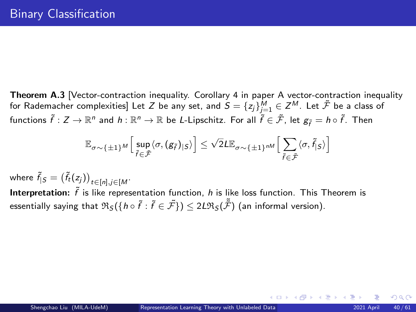Theorem A.3 [Vector-contraction inequality. Corollary 4 in paper [A vector-contraction inequality](https://arxiv.org/pdf/1605.00251.pdf) [for Rademacher complexities\]](https://arxiv.org/pdf/1605.00251.pdf) Let  $Z$  be any set, and  $\mathcal{S}=\{z_j\}_{j=1}^M\in\mathcal{Z}^M$ . Let  $\tilde{\mathcal{F}}$  be a class of functions  $\tilde{f}:Z\to\mathbb{R}^n$  and  $h:\mathbb{R}^n\to\mathbb{R}$  be *L*-Lipschitz. For all  $\tilde{f}\in\tilde{\mathcal{F}}$ , let  $g_{\tilde{f}}=h\circ\tilde{f}$ . Then

$$
\mathbb{E}_{\sigma \sim \{\pm 1\}^M} \Big[ \sup_{\tilde{f} \in \tilde{\mathcal{F}}} \langle \sigma, (g_{\tilde{f}})_{|S} \rangle \Big] \leq \sqrt{2} L \mathbb{E}_{\sigma \sim \{\pm 1\}^{nM}} \Big[ \sum_{\tilde{f} \in \tilde{\mathcal{F}}} \langle \sigma, \tilde{f}_{|S} \rangle \Big]
$$

where  $\tilde{f}_{|S} = \big(\tilde{f}_t(z_j)\big)_{t \in [n], j \in [M]}.$ 

Interpretation:  $\tilde{f}$  is like representation function, h is like loss function. This Theorem is essentially saying that  $\mathfrak{R}_S(\{h\circ \tilde{f}:\tilde{f}\in \tilde{\mathcal{F}}\})\leq 2L\mathfrak{R}_S(\tilde{\tilde{\mathcal{F}}})$  (an informal version).

 $\Omega$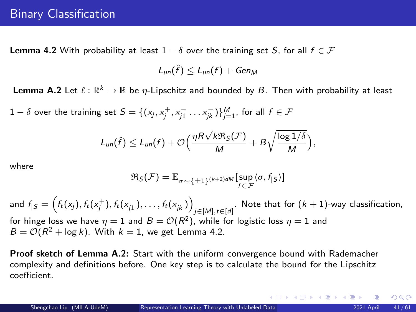**Lemma 4.2** With probability at least  $1 - \delta$  over the training set S, for all  $f \in \mathcal{F}$ 

 $L_{un}(\hat{f}) \leq L_{un}(f) + Gen_M$ 

**Lemma A.2** Let  $\ell : \mathbb{R}^k \to \mathbb{R}$  be  $\eta$ -Lipschitz and bounded by B. Then with probability at least

 $1-\delta$  over the training set  $S=\{(x_j, x_j^+, x_{j1}^- \dots x_{jk}^-)\}_{j=1}^M,$  for all  $f \in \mathcal{F}$ 

$$
L_{un}(\hat{f}) \leq L_{un}(f) + \mathcal{O}\Big(\frac{\eta R\sqrt{k}\Re_S(\mathcal{F})}{M} + B\sqrt{\frac{\log 1/\delta}{M}}\Big),\,
$$

where

$$
\mathfrak{R}_{\mathcal{S}}(\mathcal{F}) = \mathbb{E}_{\sigma \sim \{\pm 1\}^{(k+2)dM}}[\sup_{f \in \mathcal{F}} \langle \sigma, f_{|\mathcal{S}} \rangle]
$$

and  $f_{| \mathcal{S}} = \left(f_t(\mathsf{x}_j), f_t(\mathsf{x}_j^{+}), f_t(\mathsf{x}_{j1}^{-}), \ldots, f_t(\mathsf{x}_{jk}^{-})\right)$ . Note that for  $(k + 1)$ -way classification,<br>*j*∈[*M*],*t*∈[*d*] for hinge loss we have  $\eta=1$  and  $B={\cal O}(R^2)$ , while for logistic loss  $\eta=1$  and  $B = \mathcal{O}(R^2 + \log k)$ . With  $k = 1$ , we get Lemma 4.2.

Proof sketch of Lemma A.2: Start with the uniform convergence bound with Rademacher complexity and definitions before. One key step is to calculate the bound for the Lipschitz coefficient.

 $\Omega$ 

イロト イ団 トイ ミト イヨト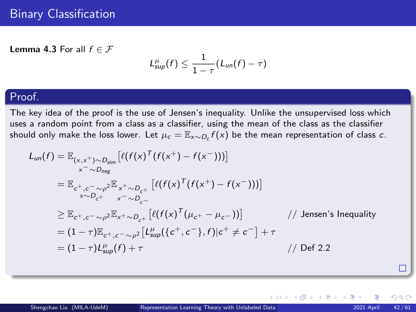**Lemma 4.3** For all  $f \in \mathcal{F}$ 

$$
L_{\text{sup}}^{\mu}(f) \leq \frac{1}{1-\tau}(L_{\text{un}}(f)-\tau)
$$

### Proof.

The key idea of the proof is the use of Jensen's inequality. Unlike the unsupervised loss which uses a random point from a class as a classifier, using the mean of the class as the classifier should only make the loss lower. Let  $\mu_c = \mathbb{E}_{\mathsf{x} \sim D_c} f(\mathsf{x})$  be the mean representation of class  $c$ .

$$
L_{un}(f) = \mathbb{E}_{(x,x^+) \sim D_{sing}} [\ell(f(x)^T(f(x^+) - f(x^-)))]
$$
  
\n
$$
= \mathbb{E}_{c^+, c^- \sim \rho^2} \mathbb{E}_{x^+ \sim D_{c^+}} [\ell(f(x)^T(f(x^+) - f(x^-)))]
$$
  
\n
$$
\times \mathbb{E}_{c^+, c^- \sim \rho^2} \mathbb{E}_{x^+ \sim D_{c^-}} [\ell(f(x)^T(\mu_{c^+} - \mu_{c^-}))]
$$
 // Jensen's Inequality  
\n
$$
= (1 - \tau) \mathbb{E}_{c^+, c^- \sim \rho^2} [L_{sup}^{\mu}(\{c^+, c^-\}, f)|c^+ \neq c^-] + \tau
$$
  
\n
$$
= (1 - \tau)L_{sup}^{\mu}(f) + \tau
$$
 // Def 2.2

 $QQ$ 

イロメ イ御 メイヨメ イヨ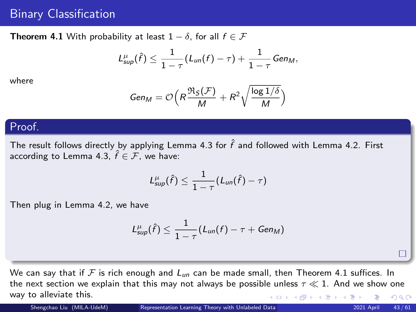# Binary Classification

**Theorem 4.1** With probability at least  $1 - \delta$ , for all  $f \in \mathcal{F}$ 

$$
L_{sup}^{\mu}(\hat{f})\leq \frac{1}{1-\tau}(L_{un}(f)-\tau)+\frac{1}{1-\tau}Gen_M,
$$

where

$$
Gen_M = \mathcal{O}\Big(R\frac{\Re_S(\mathcal{F})}{M} + R^2 \sqrt{\frac{\log 1/\delta}{M}}\Big)
$$

### Proof.

The result follows directly by applying Lemma 4.3 for  $\hat{f}$  and followed with Lemma 4.2. First according to Lemma 4.3,  $\hat{f} \in \mathcal{F}$ , we have:

$$
L_{\text{sup}}^{\mu}(\hat{f}) \leq \frac{1}{1-\tau}(L_{\text{un}}(\hat{f}) - \tau)
$$

Then plug in Lemma 4.2, we have

$$
L_{\text{sup}}^{\mu}(\hat{f}) \leq \frac{1}{1-\tau}(L_{\text{un}}(f)-\tau+ \text{Gen}_M)
$$

We can say that if F is rich enough and  $L_{un}$  can be made small, then Theorem 4.1 suffices. In the next section we explain that this may not always be possible unless  $\tau \ll 1$ . And we show one way to alleviate this. K ロ ▶ K 御 ▶ K 君 ▶ K 君 ▶  $299$ 

П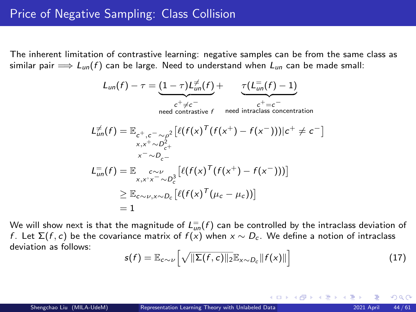The inherent limitation of contrastive learning: negative samples can be from the same class as similar pair  $\implies$   $L_{un}(f)$  can be large. Need to understand when  $L_{un}$  can be made small:

$$
L_{un}(f) - \tau = \underbrace{(1-\tau)L_{un}^{\neq}(f)}_{\text{need contrastive } f} + \underbrace{\tau(L_{un}^{\neq}(f) - 1)}_{\substack{c^+ \neq c^- \\ \text{need contrastive } f}} \\
L_{un}^{\neq}(f) = \mathbb{E}_{c^+, c^-\sim \rho^2} \left[ \ell(f(x)^{\top}(f(x^+) - f(x^-))) | c^+ \neq c^- \right] \\
\times \pi^+ \sim D_{c^-}^2 \\
L_{un}^{\neq}(f) = \mathbb{E}_{\substack{c \sim \nu \\ x, x^+ \sim D_c^2}} \left[ \ell(f(x)^{\top}(f(x^+) - f(x^-))) \right] \\
\geq \mathbb{E}_{c \sim \nu, x \sim D_c} \left[ \ell(f(x)^{\top}(\mu_c - \mu_c)) \right] \\
= 1
$$

We will show next is that the magnitude of  $L^\equiv_{un}(f)$  can be controlled by the intraclass deviation of f. Let  $\Sigma(f, c)$  be the covariance matrix of  $f(x)$  when  $x \sim D_c$ . We define a notion of intraclass deviation as follows:

$$
s(f) = \mathbb{E}_{c \sim \nu} \left[ \sqrt{\|\Sigma(f, c)\|_2} \mathbb{E}_{x \sim D_c} \|f(x)\| \right] \tag{17}
$$

K ロト K 御 ト K 君 ト K 君 K

つへへ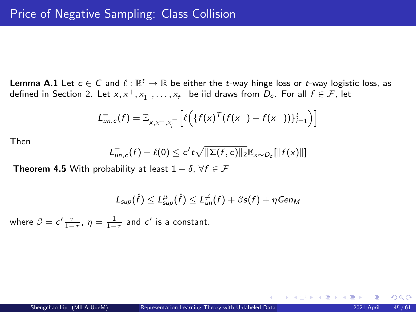**Lemma A.1** Let  $c \in C$  and  $\ell : \mathbb{R}^t \to \mathbb{R}$  be either the *t*-way hinge loss or *t*-way logistic loss, as defined in Section 2. Let  $x, x^+, x_1^-, \ldots, x_t^-$  be iid draws from  $D_c$ . For all  $f \in \mathcal{F}$ , let

$$
L_{un,c}^{-}(f) = \mathbb{E}_{x,x^+,x^-} \left[ \ell \left( \{ f(x)^T (f(x^+) - f(x^-)) \}_{i=1}^t \right) \right]
$$

Then

$$
L_{un,c}^=(f)-\ell(0)\leq c't\sqrt{\|\Sigma(f,c)\|_2}\mathbb{E}_{x\sim D_c}[\|f(x)\|]
$$

**Theorem 4.5** With probability at least  $1 - \delta$ ,  $\forall f \in \mathcal{F}$ 

$$
L_{\text{sup}}(\hat{f}) \le L_{\text{sup}}^{\mu}(\hat{f}) \le L_{\text{un}}^{\neq}(f) + \beta s(f) + \eta \text{Gen}_M
$$

where  $\beta = c' \frac{\tau}{1-\tau}$ ,  $\eta = \frac{1}{1-\tau}$  and  $c'$  is a constant.

 $\Omega$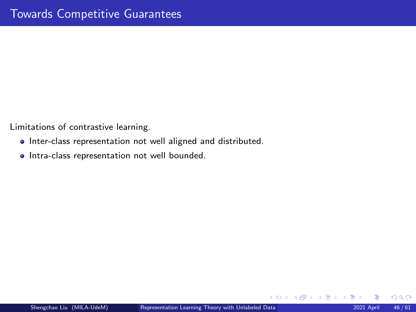Limitations of contrastive learning.

- Inter-class representation not well aligned and distributed.
- **•** Intra-class representation not well bounded.

 $299$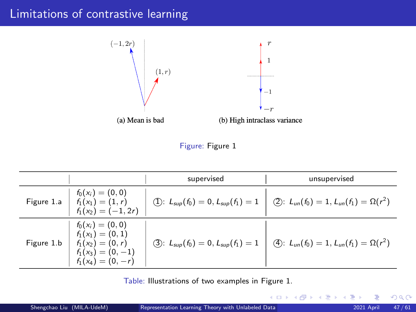# Limitations of contrastive learning



Figure: Figure 1

|            |                                                                                                              | supervised                                | unsupervised                                                                                         |
|------------|--------------------------------------------------------------------------------------------------------------|-------------------------------------------|------------------------------------------------------------------------------------------------------|
|            | Figure 1.a $\begin{array}{ l l } & f_0(x_i) = (0,0) \\ f_1(x_1) = (1, r) \\ f_1(x_2) = (-1, 2r) \end{array}$ |                                           | (1): $L_{sup}(f_0) = 0, L_{sup}(f_1) = 1$ $\bigcirc$ 2: $L_{un}(f_0) = 1, L_{un}(f_1) = \Omega(r^2)$ |
| Figure 1.b | $f_0(x_i) = (0,0)$<br>$f_1(x_1) = (0,1)$<br>$f_1(x_2) = (0, r)$<br>$f_1(x_3)=(0,-1)$<br>$f_1(x_4) = (0, -r)$ | (3): $L_{sup}(f_0) = 0, L_{sup}(f_1) = 1$ | (4): $L_{un}(f_0) = 1, L_{un}(f_1) = \Omega(r^2)$                                                    |

Table: Illustrations of two examples in Figure 1.

 $299$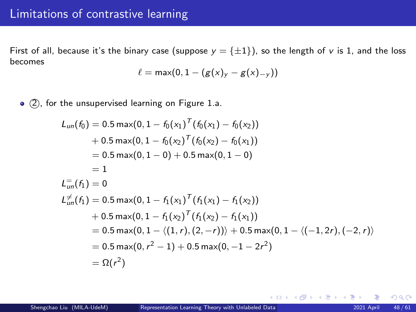First of all, because it's the binary case (suppose  $y = \{\pm 1\}$ ), so the length of v is 1, and the loss becomes

$$
\ell = \max(0, 1 - (g(x)_y - g(x)_{-y}))
$$

• (2), for the unsupervised learning on Figure 1.a.

$$
L_{un}(f_0) = 0.5 \max(0, 1 - f_0(x_1)^T (f_0(x_1) - f_0(x_2))
$$
  
+ 0.5 \max(0, 1 - f\_0(x\_2)^T (f\_0(x\_2) - f\_0(x\_1))  
= 0.5 \max(0, 1 - 0) + 0.5 \max(0, 1 - 0)  
= 1  

$$
L_{un}^{\neq}(f_1) = 0
$$
  

$$
L_{un}^{\neq}(f_1) = 0.5 \max(0, 1 - f_1(x_1)^T (f_1(x_1) - f_1(x_2))
$$
  
+ 0.5 \max(0, 1 - f\_1(x\_2)^T (f\_1(x\_2) - f\_1(x\_1))  
= 0.5 \max(0, 1 - \langle (1, r), (2, -r) \rangle) + 0.5 \max(0, 1 - \langle (-1, 2r), (-2, r) \rangle  
= 0.5 \max(0, r^2 - 1) + 0.5 \max(0, -1 - 2r^2)  
= \Omega(r^2)

 $299$ 

イロメ イ御 メイヨメ イヨ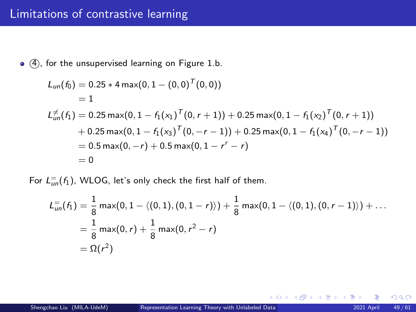$\bullet$   $\widehat{4}$ ), for the unsupervised learning on Figure 1.b.

$$
L_{un}(f_0) = 0.25 * 4 \max(0, 1 - (0, 0)^T(0, 0))
$$
  
= 1  

$$
L_{un}^{\neq}(f_1) = 0.25 \max(0, 1 - f_1(x_1)^T(0, r + 1)) + 0.25 \max(0, 1 - f_1(x_2)^T(0, r + 1))
$$
  
+ 0.25 \max(0, 1 - f\_1(x\_3)^T(0, -r - 1)) + 0.25 \max(0, 1 - f\_1(x\_4)^T(0, -r - 1))  
= 0.5 \max(0, -r) + 0.5 \max(0, 1 - r^r - r)  
= 0

For  $L_{un}^=(f_1)$ , WLOG, let's only check the first half of them.

$$
L_{un}^=(f_1) = \frac{1}{8} \max(0, 1 - \langle (0, 1), (0, 1 - r) \rangle) + \frac{1}{8} \max(0, 1 - \langle (0, 1), (0, r - 1) \rangle) + \dots
$$
  
=  $\frac{1}{8} \max(0, r) + \frac{1}{8} \max(0, r^2 - r)$   
=  $\Omega(r^2)$ 

 $299$ 

メロトメ 伊 トメ ミトメ ミト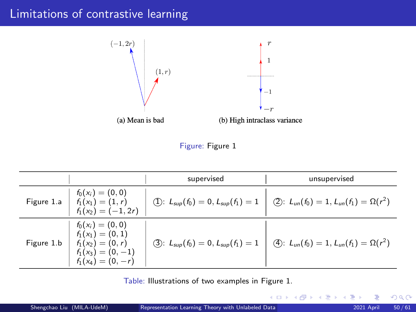# Limitations of contrastive learning



Figure: Figure 1

|            |                                                                                                              | supervised                                | unsupervised                                                                                          |
|------------|--------------------------------------------------------------------------------------------------------------|-------------------------------------------|-------------------------------------------------------------------------------------------------------|
|            | Figure 1.a $\begin{array}{ l l } & f_0(x_i) = (0,0) \\ f_1(x_1) = (1, r) \\ f_1(x_2) = (-1, 2r) \end{array}$ |                                           | (1): $L_{sup}(f_0) = 0, L_{sup}(f_1) = 1$ $\bigotimes$ : $L_{un}(f_0) = 1, L_{un}(f_1) = \Omega(r^2)$ |
| Figure 1.b | $f_0(x_i) = (0,0)$<br>$f_1(x_1) = (0,1)$<br>$f_1(x_2) = (0, r)$<br>$f_1(x_3)=(0,-1)$<br>$f_1(x_4) = (0, -r)$ | (3): $L_{sup}(f_0) = 0, L_{sup}(f_1) = 1$ | (4): $L_{un}(f_0) = 1, L_{un}(f_1) = \Omega(r^2)$                                                     |

Table: Illustrations of two examples in Figure 1.

 $299$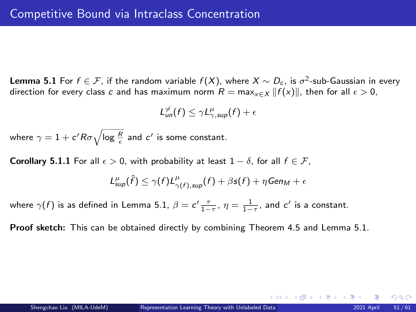**Lemma 5.1** For  $f \in \mathcal{F}$ , if the random variable  $f(X)$ , where  $X \sim D_c$ , is  $\sigma^2$ -sub-Gaussian in every direction for every class c and has maximum norm  $R = \max_{x \in X} ||f(x)||$ , then for all  $\epsilon > 0$ ,

$$
L^{\neq}_{un}(f) \leq \gamma L^{\mu}_{\gamma, sup}(f) + \epsilon
$$

where  $\gamma=1+c^\prime R \sigma \sqrt{\log{\frac{R}{\epsilon}}}$  and  $c^\prime$  is some constant.

**Corollary 5.1.1** For all  $\epsilon > 0$ , with probability at least  $1 - \delta$ , for all  $f \in \mathcal{F}$ ,

$$
L_{\text{sup}}^{\mu}(\hat{f}) \leq \gamma(f)L_{\gamma(f),\text{sup}}^{\mu}(f) + \beta s(f) + \eta \text{Gen}_M + \epsilon
$$

where  $\gamma(f)$  is as defined in Lemma 5.1,  $\beta = c' \frac{\tau}{1 - \tau}$ ,  $\eta = \frac{1}{1 - \tau}$ , and  $c'$  is a constant.

Proof sketch: This can be obtained directly by combining Theorem 4.5 and Lemma 5.1.

 $\Omega$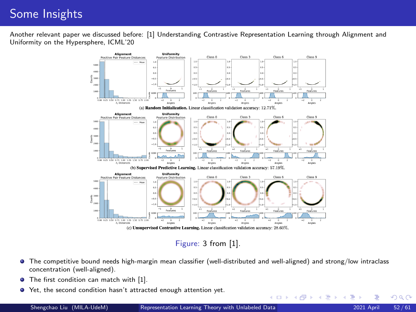# Some Insights

Another relevant paper we discussed before: [1] [Understanding Contrastive Representation Learning through Alignment and](https://arxiv.org/pdf/2005.10242.pdf) [Uniformity on the Hypersphere,](https://arxiv.org/pdf/2005.10242.pdf) ICML'20



Figure: 3 from [1].

- The competitive bound needs high-margin mean classifier (well-distributed and well-aligned) and strong/low intraclass concentration (well-aligned).
- ٠ The first condition can match with [1].
- Yet, the second condition hasn't attracted enough attention yet.

 $\Omega$ 

イロト イ押ト イヨト イヨ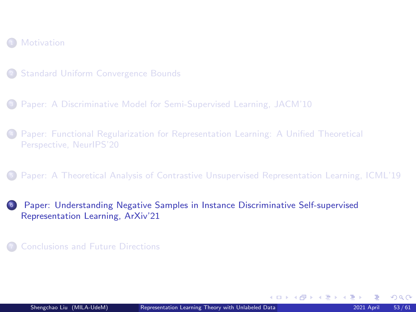#### <span id="page-52-0"></span>**[Motivation](#page-2-0)**

- <sup>2</sup> [Standard Uniform Convergence Bounds](#page-4-0)
- <sup>3</sup> [Paper: A Discriminative Model for Semi-Supervised Learning, JACM'10](#page-18-0)
- <sup>4</sup> [Paper: Functional Regularization for Representation Learning: A Unified Theoretical](#page-25-0) [Perspective, NeurIPS'20](#page-25-0)
- <sup>5</sup> [Paper: A Theoretical Analysis of Contrastive Unsupervised Representation Learning, ICML'19](#page-35-0)
- <sup>6</sup> [Paper: Understanding Negative Samples in Instance Discriminative Self-supervised](#page-52-0) [Representation Learning, ArXiv'21](#page-52-0)
- <sup>7</sup> [Conclusions and Future Directions](#page-59-0)

 $\Omega$ 

K ロ > K @ > K ミ > K ミ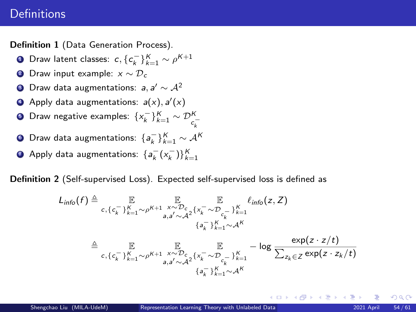# **Definitions**

Definition 1 (Data Generation Process).

- Draw latent classes:  $c, \{c_k^-\}_{k=1}^K \sim \rho^{K+1}$
- **2** Draw input example:  $x \sim \mathcal{D}_c$
- 9 Draw data augmentations: *a*, a′  $\sim$   $\mathcal{A}^2$
- **4** Apply data augmentations:  $a(x)$ ,  $a'(x)$
- ∍ Draw negative examples:  $\{x_k^-\}_{k=1}^K \sim \mathcal{D}_{c_k^-}^K$ k
- ∫ Draw data augmentations:  $\{a_k^-\}_{k=1}^K \sim \mathcal{A}^{\mathcal{K}}$
- ↑ Apply data augmentations:  $\{a_k^-(x_k^-)\}_{k=1}^K$

Definition 2 (Self-supervised Loss). Expected self-supervised loss is defined as

$$
L_{info}(f) \triangleq \mathbb{E}_{c, \{c_k^-\}_{k=1}^K \sim \rho^{K+1}} \mathbb{E}_{a, a' \sim \mathcal{A}^2} \{x_k^-\sim_{c_k}^{\mathcal{E}}\}_{k=1}^{\mathcal{E}} \mathcal{L}_{info}(z, Z)
$$
\n
$$
\triangleq \mathbb{E}_{c, \{c_k^-\}_{k=1}^K \sim \rho^{K+1}} \mathbb{E}_{a, a' \sim \mathcal{A}^2} \mathbb{E}_{a, a' \sim \mathcal{A}^K} - \log \frac{\exp(z \cdot z/t)}{\sum_{z_k \in Z} \exp(z \cdot z_k/t)}
$$

 ${a_k^-}$ } $_{k=1}^K$ ∼ $A^K$ 

 $\Omega$ 

K ロメ K 御 メ K 君 メ K 君 メ …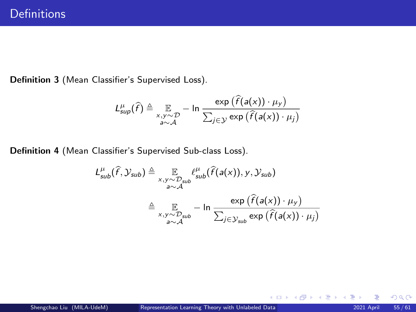Definition 3 (Mean Classifier's Supervised Loss).

$$
L_{\text{sup}}^{\mu}(\widehat{f}) \triangleq \mathop{\mathbb{E}}_{\substack{x,y \sim \mathcal{D} \\ a \sim \mathcal{A}}} - \ln \frac{\exp (\widehat{f}(a(x)) \cdot \mu_{y})}{\sum_{j \in \mathcal{Y}} \exp (\widehat{f}(a(x)) \cdot \mu_{j})}
$$

Definition 4 (Mean Classifier's Supervised Sub-class Loss).

$$
L_{sub}^{\mu}(\widehat{f}, \mathcal{Y}_{sub}) \triangleq \mathop{\mathbb{E}}_{\substack{x, y \sim \mathcal{D}_{sub}} \mathcal{E}_{sub}^{\mu}(\widehat{f}(a(x)), y, \mathcal{Y}_{sub})}
$$

$$
\triangleq \mathop{\mathbb{E}}_{\substack{x, y \sim \mathcal{D}_{sub}} \mathcal{E}_{sub}} - \ln \frac{\exp (\widehat{f}(a(x)) \cdot \mu_{y})}{\sum_{j \in \mathcal{Y}_{sub}} \exp (\widehat{f}(a(x)) \cdot \mu_{j})}
$$

 $299$ 

K ロ ▶ K 個 ▶ K 君 ▶ K 君 ▶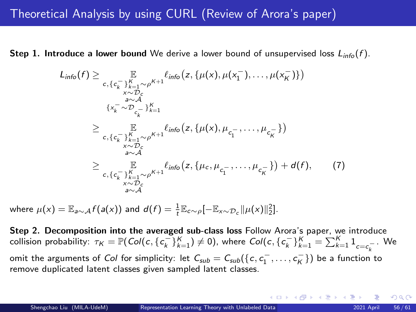**Step 1. Introduce a lower bound** We derive a lower bound of unsupervised loss  $L_{info}(f)$ .

$$
L_{info}(f) \geq \mathbb{E}_{\substack{c, \{c_{k}\}_{k=1}^{K} \sim \rho^{K+1} \\ x \sim D_{c} \\ \text{and} \\ \{x_{k}^{-} \sim D_{c-}\}_{k=1}^{K} \\ \geq \mathbb{E}_{\substack{c, \{c_{k}\}_{k=1}^{K} \\ c, \{c_{k}\}_{k=1}^{K} \\ x \sim D_{c}}}} \mathbb{E}_{\substack{F, \\ \{x_{k}^{-} \sim \rho_{c-}\}_{k=1}^{K} \\ x \sim D_{c}} \\ \geq \mathbb{E}_{\substack{C, \\ \{c_{k}\}_{k=1}^{K} \sim \rho^{K+1} \\ x \sim D_{c}} } \ell_{info}\big(z, \{\mu(x), \mu_{c_{1}^{-}}, \ldots, \mu_{c_{K}^{-}}\}\big) + d(f), \qquad (7)
$$

where  $\mu(x) = \mathbb{E}_{a \sim \mathcal{A}} f(a(x))$  and  $d(f) = \frac{1}{t} \mathbb{E}_{c \sim \rho}[-\mathbb{E}_{x \sim \mathcal{D}_c} || \mu(x) ||_2^2]$ .

Step 2. Decomposition into the averaged sub-class loss Follow Arora's paper, we introduce collision probability:  $\tau_K = \mathbb{P}(Col(c, \{c_k^{\top}\}_{k=1}^K) \neq 0)$ , where  $Col(c, \{c_k^{\top}\}_{k=1}^K = \sum_{k=1}^K 1_{c=c_k^{-}}$ . We omit the arguments of Col for simplicity: let  $\mathcal{C}_{sub} = \mathcal{C}_{sub}(\{c,c^{-}_1,\ldots,c^{-}_K\})$  be a function to remove duplicated latent classes given sampled latent classes.

 $\Omega$ 

K ロ ▶ K 御 ▶ K 君 ▶ K 君 ▶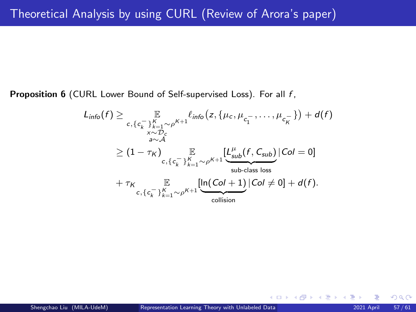<span id="page-56-0"></span>Proposition 6 (CURL Lower Bound of Self-supervised Loss). For all f,

$$
L_{info}(f) \geq \mathbb{E}_{\substack{c, \{c_{k-1}\}^K \to \mathcal{O}_c \\ x \sim \mathcal{D}_c}} \mathbb{E}_{\substack{c, \{c_{k-1}^T \sim \rho^{K+1}^{\ell_{info}} \left(z, \{\mu_c, \mu_{c_1^-}, \dots, \mu_{c_K}^-\}\right) + d(f) \\ x \sim \mathcal{A}}} \geq (1 - \tau_K) \mathbb{E}_{\substack{c, \{c_{k-1}\}^K \to \mathcal{O}_c + 1 \\ c, \{c_{k-1}\}^K \sim \rho^{K+1}}} \frac{[L_{sub}^{\mu}(f, C_{sub}) | Col = 0]}{\mathbb{E}_{\substack{sub-class loss \\ \text{sub-class loss}}} + \tau_K \mathbb{E}_{\substack{c, \{c_{k-1}\}^K \to \rho^{K+1}}} \frac{[\ln(Col + 1) | Col \neq 0] + d(f)}{\text{collision}}}.
$$

 $\Omega$ 

イロメ イ御 メイヨメ イヨ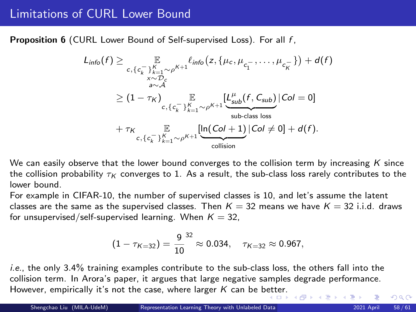Proposition 6 (CURL Lower Bound of Self-supervised Loss). For all f,

$$
L_{info}(f) \geq \mathbb{E}_{c, \{c_{k}^{-}\}_{k=1}^{K} \sim \rho^{K+1}} \ell_{info}(z, \{\mu_{c}, \mu_{c_{1}^{-}}, \dots, \mu_{c_{K}^{-}}\}) + d(f)
$$
  
\n
$$
\geq (1 - \tau_{K}) \mathbb{E}_{c, \{c_{k}^{-}\}_{k=1}^{K} \sim \rho^{K+1}} \frac{[L_{sub}^{\mu}(f, C_{sub}) | Col = 0]}{\sum_{\text{sub-class loss}} \text{loss}}
$$
  
\n
$$
+ \tau_{K} \mathbb{E}_{c, \{c_{k}^{-}\}_{k=1}^{K} \sim \rho^{K+1}} \frac{[\ln(Col + 1) | Col \neq 0] + d(f)}{\text{collision}}
$$

We can easily observe that the lower bound converges to the collision term by increasing  $K$  since the collision probability  $\tau_K$  converges to 1. As a result, the sub-class loss rarely contributes to the lower bound.

For example in CIFAR-10, the number of supervised classes is 10, and let's assume the latent classes are the same as the supervised classes. Then  $K = 32$  means we have  $K = 32$  i.i.d. draws for unsupervised/self-supervised learning. When  $K = 32$ ,

$$
(1-\tau_{K=32})=\frac{9}{10}^{32}\approx 0.034, \quad \tau_{K=32}\approx 0.967,
$$

i.e., the only 3.4% training examples contribute to the sub-class loss, the others fall into the collision term. In Arora's paper, it argues that large negative samples degrade performance. However, empirically it's not the case, where larger K can be b[ett](#page-56-0)e[r.](#page-58-0)

 $QQ$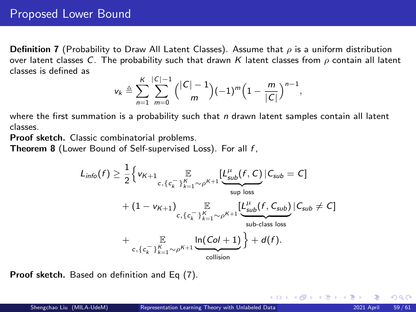<span id="page-58-0"></span>**Definition 7** (Probability to Draw All Latent Classes). Assume that  $\rho$  is a uniform distribution over latent classes C. The probability such that drawn K latent classes from  $\rho$  contain all latent classes is defined as

$$
v_k \triangleq \sum_{n=1}^K \sum_{m=0}^{|C|-1} { |C|-1 \choose m} (-1)^m \left(1 - \frac{m}{|C|}\right)^{n-1},
$$

where the first summation is a probability such that  $n$  drawn latent samples contain all latent classes.

Proof sketch. Classic combinatorial problems.

**Theorem 8** (Lower Bound of Self-supervised Loss). For all  $f$ ,

$$
L_{info}(f) \geq \frac{1}{2} \Big\{ v_{K+1} \underset{c, \{c_k^-\}}{\mathbb{E}} \underset{c, \{c_k^-\}}{\mathbb{E}} \underset{c, \{c_k^-\}}{\mathbb{E}} \underset{c, \{c_k^-\}}{\mathbb{E}} \underset{c, \{c_k^-\}}{\mathbb{E}} \underset{c, \{c_k^-\}}{\mathbb{E}} \underset{c, \{c_k^-\}}{\mathbb{E}} \underset{c, \{c_k^-\}}{\mathbb{E}} \underset{c, \{c_k^-\}}{\mathbb{E}} \underset{c, \{c_k^-\}}{\mathbb{E}} \underset{c, \{c_k^-\}}{\mathbb{E}} \underset{c, \{c_k^-\}}{\mathbb{E}} \underset{c, \{c_k^-\}}{\mathbb{E}} \underset{c, \{c_k^-\}}{\mathbb{E}} \underset{c, \{c_k^-\}}{\mathbb{E}} \underset{c, \{c_k^-\}}{\mathbb{E}} \underset{c, \{c_k^-\}}{\mathbb{E}} \underset{c, \{c_k^-\}}{\mathbb{E}} \underset{c, \{c_k^-\}}{\mathbb{E}} \underset{c, \{c_k^-\}}{\mathbb{E}} \underset{c, \{c_k^-\}}{\mathbb{E}} \underset{c, \{c_k^-\}}{\mathbb{E}} \underset{c, \{c_k^-\}}{\mathbb{E}} \underset{c, \{c_k^-\}}{\mathbb{E}} \underset{c, \{c_k^-\}}{\mathbb{E}} \underset{c, \{c_k^-\}}{\mathbb{E}} \underset{c, \{c_k^-\}}{\mathbb{E}} \underset{c, \{c_k^-\}}{\mathbb{E}} \underset{c, \{c_k^-\}}{\mathbb{E}} \underset{c, \{c_k^-\}}{\mathbb{E}} \underset{c, \{c_k^-\}}{\mathbb{E}} \underset{c, \{c_k^-\}}{\mathbb{E}} \underset{c, \{c_k^-\}}{\mathbb{E}} \underset{c, \{c_k^-\}}{\mathbb{E}} \underset{c, \{c_k^-\}}{\mathbb{E}} \underset{c, \{c_k^-\}}{\mathbb{E}} \underset{c, \{c_k^-\}}{\mathbb{E}} \underset{c, \{c_k^-\}}{\mathbb{E}} \underset{c, \{c_k^
$$

Proof sketch. Based on definition and Eq (7).

 $\Omega$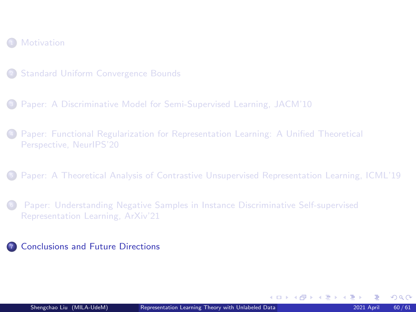#### <span id="page-59-0"></span>**[Motivation](#page-2-0)**

- 
- <sup>3</sup> [Paper: A Discriminative Model for Semi-Supervised Learning, JACM'10](#page-18-0)
- <sup>4</sup> [Paper: Functional Regularization for Representation Learning: A Unified Theoretical](#page-25-0) [Perspective, NeurIPS'20](#page-25-0)
- <sup>5</sup> [Paper: A Theoretical Analysis of Contrastive Unsupervised Representation Learning, ICML'19](#page-35-0)
- <sup>6</sup> [Paper: Understanding Negative Samples in Instance Discriminative Self-supervised](#page-52-0) [Representation Learning, ArXiv'21](#page-52-0)
- <sup>7</sup> [Conclusions and Future Directions](#page-59-0)

 $\Omega$ 

K ロ > K @ > K ミ > K ミ